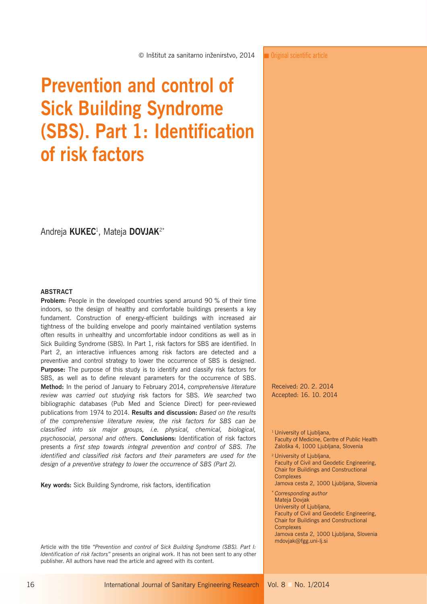© Inštitut za sanitarno inženirstvo, 2014

Andreja **KUKEC**<sup>1</sup> , Mateja **DOVJAK**2\*

**of risk factors** 

**Prevention and control of** 

**(SBS). Part 1: Identification** 

**Sick Building Syndrome** 

#### **ABSTRACT**

**Problem:** People in the developed countries spend around 90 % of their time indoors, so the design of healthy and comfortable buildings presents a key fundament. Construction of energy-efficient buildings with increased air tightness of the building envelope and poorly maintained ventilation systems often results in unhealthy and uncomfortable indoor conditions as well as in Sick Building Syndrome (SBS). In Part 1, risk factors for SBS are identified. In Part 2, an interactive influences among risk factors are detected and a preventive and control strategy to lower the occurrence of SBS is designed. **Purpose:** The purpose of this study is to identify and classify risk factors for SBS, as well as to define relevant parameters for the occurrence of SBS. **Method:** In the period of January to February 2014, *comprehensive literature review was carried out studying* risk factors for SBS. *We searched* two bibliographic databases (Pub Med and Science Direct) for peer-reviewed publications from 1974 to 2014. **Results and discussion:** *Based on the results of the comprehensive literature review, the risk factors for SBS can be classified into six major groups, i.e. physical, chemical, biological, psychosocial, personal and others.* **Conclusions:** Identification of risk factors presents *a first step towards integral prevention and control of SBS. The identified and classified risk factors and their parameters are used for the design of a preventive strategy to lower the occurrence of SBS (Part 2).*

**Key words:** Sick Building Syndrome, risk factors, identification

Article with the title *"Prevention and control of Sick Building Syndrome (SBS). Part I: Identification of risk factors"* presents an original work. It has not been sent to any other publisher. All authors have read the article and agreed with its content.

**T** Original scientific article

Received: 20. 2. 2014 Acc epted: 16. 10. 2014

#### <sup>1</sup> University of Ljubljana, Faculty of Medicine, Centre of Public Health Zaloška 4, 1000 Ljubljana, Slovenia

2 University of Ljubljana, Faculty of Civil and Geodetic Engineering, Chair for Buildings and Constructional **Complexes** 

- Jamova cesta 2, 1000 Ljubljana, Slovenia
- <sup>∗</sup>*Corresponding author* Mateja Dovjak University of Ljubljana,

Faculty of Civil and Geodetic Engineering, Chair for Buildings and Constructional

Complexes

Jamova cesta 2, 1000 Ljubljana, Slovenia mdovjak@fgg.uni-lj.si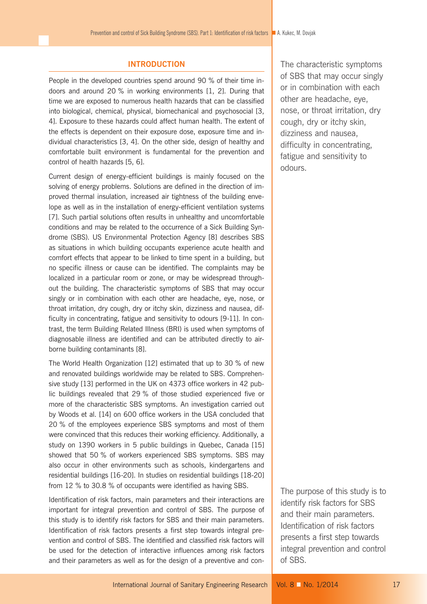#### **INTRODUCTION**

People in the developed countries spend around 90 % of their time indoors and around 20 % in working environments [1, 2]. During that time we are exposed to numerous health hazards that can be classified into biological, chemical, physical, biomechanical and psychosocial [3, 4]. Exposure to these hazards could affect human health. The extent of the effects is dependent on their exposure dose, exposure time and individual characteristics [3, 4]. On the other side, design of healthy and comfortable built environment is fundamental for the prevention and control of health hazards [5, 6].

Current design of energy-efficient buildings is mainly focused on the solving of energy problems. Solutions are defined in the direction of improved thermal insulation, increased air tightness of the building envelope as well as in the installation of energy-efficient ventilation systems [7]. Such partial solutions often results in unhealthy and uncomfortable conditions and may be related to the occurrence of a Sick Building Syndrome (SBS). US Environmental Protection Agency [8] describes SBS as situations in which building occupants experience acute health and comfort effects that appear to be linked to time spent in a building, but no specific illness or cause can be identified. The complaints may be localized in a particular room or zone, or may be widespread throughout the building. The characteristic symptoms of SBS that may occur singly or in combination with each other are headache, eye, nose, or throat irritation, dry cough, dry or itchy skin, dizziness and nausea, difficulty in concentrating, fatigue and sensitivity to odours [9-11]. In contrast, the term Building Related Illness (BRI) is used when symptoms of diagnosable illness are identified and can be attributed directly to airborne building contaminants [8].

The World Health Organization [12] estimated that up to 30 % of new and renovated buildings worldwide may be related to SBS. Comprehensive study [13] performed in the UK on 4373 office workers in 42 public buildings revealed that 29 % of those studied experienced five or more of the characteristic SBS symptoms. An investigation carried out by Woods et al. [14] on 600 office workers in the USA concluded that 20 % of the employees experience SBS symptoms and most of them were convinced that this reduces their working efficiency. Additionally, a study on 1390 workers in 5 public buildings in Quebec, Canada [15] showed that 50 % of workers experienced SBS symptoms. SBS may also occur in other environments such as schools, kindergartens and residential buildings [16-20]. In studies on residential buildings [18-20] from 12 % to 30.8 % of occupants were identified as having SBS.

Identification of risk factors, main parameters and their interactions are important for integral prevention and control of SBS. The purpose of this study is to identify risk factors for SBS and their main parameters. Identification of risk factors presents a first step towards integral prevention and control of SBS. The identified and classified risk factors will be used for the detection of interactive influences among risk factors and their parameters as well as for the design of a preventive and conThe characteristic symptoms of SBS that may occur singly or in combination with each other are headache, eye, nose, or throat irritation, dry cough, dry or itchy skin, dizziness and nausea, difficulty in concentrating, fatigue and sensitivity to odours.

The purpose of this study is to identify risk factors for SBS and their main parameters. Identification of risk factors presents a first step towards integral prevention and control of SBS.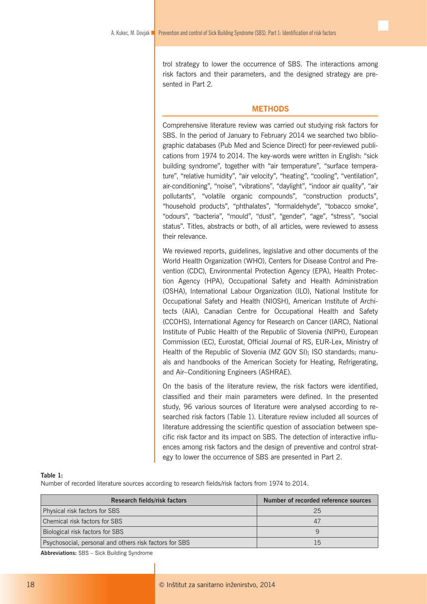trol strategy to lower the occurrence of SBS. The interactions among risk factors and their parameters, and the designed strategy are presented in Part 2*.*

# **METHODS**

Comprehensive literature review was carried out studying risk factors for SBS. In the period of January to February 2014 we searched two bibliographic databases (Pub Med and Science Direct) for peer-reviewed publications from 1974 to 2014. The key-words were written in English: "sick building syndrome", together with "air temperature", "surface temperature", "relative humidity", "air velocity", "heating", "cooling", "ventilation", air-conditioning", "noise", "vibrations", "daylight", "indoor air quality", "air pollutants", "volatile organic compounds", "construction products", "household products", "phthalates", "formaldehyde", "tobacco smoke", "odours", "bacteria", "mould", "dust", "gender", "age", "stress", "social status". Titles, abstracts or both, of all articles, were reviewed to assess their relevance.

We reviewed reports, guidelines, legislative and other documents of the World Health Organization (WHO), Centers for Disease Control and Prevention (CDC), Environmental Protection Agency (EPA), Health Protection Agency (HPA), Occupational Safety and Health Administration (OSHA), International Labour Organization (ILO), National Institute for Occupational Safety and Health (NIOSH), American Institute of Architects (AIA), Canadian Centre for Occupational Health and Safety (CCOHS), International Agency for Research on Cancer (IARC), National Institute of Public Health of the Republic of Slovenia (NIPH), European Commission (EC), Eurostat, Official Journal of RS, EUR-Lex, Ministry of Health of the Republic of Slovenia (MZ GOV SI); ISO standards; manuals and handbooks of the American Society for Heating, Refrigerating, and Air–Conditioning Engineers (ASHRAE).

On the basis of the literature review, the risk factors were identified, classified and their main parameters were defined. In the presented study, 96 various sources of literature were analysed according to researched risk factors (Table 1). Literature review included all sources of literature addressing the scientific question of association between specific risk factor and its impact on SBS. The detection of interactive influences among risk factors and the design of preventive and control strategy to lower the occurrence of SBS are presented in Part 2.

#### **Table 1:**

Number of recorded literature sources according to research fields/risk factors from 1974 to 2014.

| <b>Research fields/risk factors</b>                    | Number of recorded reference sources |  |
|--------------------------------------------------------|--------------------------------------|--|
| Physical risk factors for SBS                          | 25                                   |  |
| Chemical risk factors for SBS                          | 47                                   |  |
| Biological risk factors for SBS                        |                                      |  |
| Psychosocial, personal and others risk factors for SBS | 15                                   |  |

**Abbreviations:** SBS – Sick Building Syndrome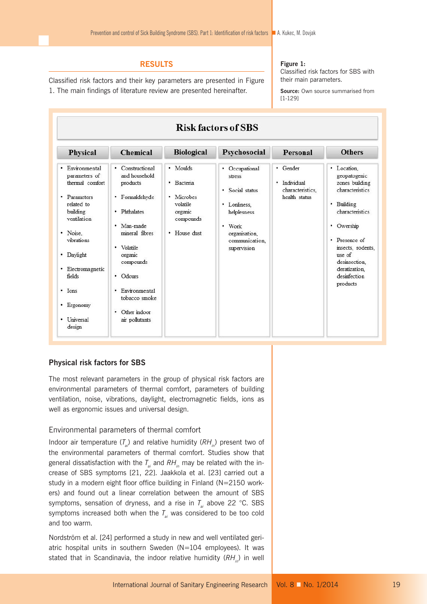# **RESULTS**

Classified risk factors and their key parameters are presented in Figure 1. The main findings of literature review are presented hereinafter.

#### **Figure 1:**

Classified risk factors for SBS with their main parameters.

**Source:** Own source summarised from [1-129]

| <b>Risk factors of SBS</b>                                                                                                                                                                                                                        |                                                                                                                                                                                                                                              |                                                                                             |                                                                                                                                                   |                                                                  |                                                                                                                                                                                                                                  |  |
|---------------------------------------------------------------------------------------------------------------------------------------------------------------------------------------------------------------------------------------------------|----------------------------------------------------------------------------------------------------------------------------------------------------------------------------------------------------------------------------------------------|---------------------------------------------------------------------------------------------|---------------------------------------------------------------------------------------------------------------------------------------------------|------------------------------------------------------------------|----------------------------------------------------------------------------------------------------------------------------------------------------------------------------------------------------------------------------------|--|
| Physical                                                                                                                                                                                                                                          | <b>Chemical</b>                                                                                                                                                                                                                              | <b>Biological</b>                                                                           | Psychosocial                                                                                                                                      | <b>Personal</b>                                                  | <b>Others</b>                                                                                                                                                                                                                    |  |
| Environmental<br>٠<br>parameters of<br>thermal comfort<br>• Parameters<br>related to<br>building<br>ventilation<br>· Noise.<br>vibrations<br>• Daylight<br>Electromagnetic<br>٠<br>fields<br>$\cdot$ Ions<br>Ergonomy<br>٠<br>Universal<br>design | • Constructional<br>and household<br>products<br>· Formaldehyde<br>· Phthalates<br>· Man-made<br>mineral fibres<br>· Volatile<br>organic<br>compounds<br>• Odours<br>· Environmental<br>tobacco smoke<br>Other indoor<br>٠<br>air pollutants | · Moulds<br>Bacteria<br>٠<br>· Microbes<br>volatile<br>organic<br>compounds<br>• House dust | • Occupational<br>stress<br>Social status<br>٠<br>· Lonliness.<br>helplesness<br>$\bullet$ Work<br>organisation.<br>communication.<br>supervision | • Gender<br>Individual<br>٠<br>characteristics.<br>health status | · Location.<br>geopatogenic<br>zones building<br>characteristics<br>· Building<br>characteristics<br>Owership<br>٠<br>• Presence of<br>insects, rodents.<br>use of<br>desinsection.<br>deratization.<br>desinfection<br>products |  |

## **Physical risk factors for SBS**

The most relevant parameters in the group of physical risk factors are environmental parameters of thermal comfort, parameters of building ventilation, noise, vibrations, daylight, electromagnetic fields, ions as well as ergonomic issues and universal design.

## Environmental parameters of thermal comfort

Indoor air temperature  $(T_a)$  and relative humidity  $(RH_a)$  present two of the environmental parameters of thermal comfort. Studies show that general dissatisfaction with the  $T_{ai}$  and  $RH_{in}$  may be related with the increase of SBS symptoms [21, 22]. Jaakkola et al. [23] carried out a study in a modern eight floor office building in Finland (N=2150 workers) and found out a linear correlation between the amount of SBS symptoms, sensation of dryness, and a rise in  $T_{ai}$  above 22 °C. SBS symptoms increased both when the  $T_a$  was considered to be too cold and too warm.

Nordström et al. [24] performed a study in new and well ventilated geriatric hospital units in southern Sweden (N=104 employees). It was stated that in Scandinavia, the indoor relative humidity (RH<sub>in</sub>) in well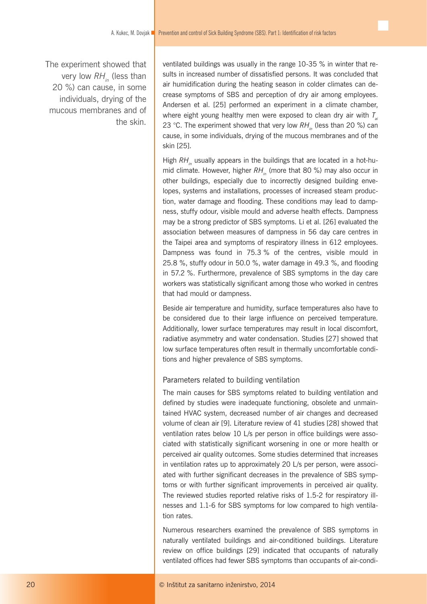The experiment showed that very low RH<sub>in</sub> (less than 20 %) can cause, in some individuals, drying of the mucous membranes and of the skin.

ventilated buildings was usually in the range 10-35 % in winter that results in increased number of dissatisfied persons. It was concluded that air humidification during the heating season in colder climates can decrease symptoms of SBS and perception of dry air among employees. Andersen et al. [25] performed an experiment in a climate chamber, where eight young healthy men were exposed to clean dry air with  $T_a$ 23 °C. The experiment showed that very low RH<sub>in</sub> (less than 20 %) can cause, in some individuals, drying of the mucous membranes and of the skin [25].

High *RH<sub>in</sub>* usually appears in the buildings that are located in a hot-humid climate. However, higher RH<sub>in</sub> (more that 80 %) may also occur in other buildings, especially due to incorrectly designed building envelopes, systems and installations, processes of increased steam production, water damage and flooding. These conditions may lead to dampness, stuffy odour, visible mould and adverse health effects. Dampness may be a strong predictor of SBS symptoms. Li et al. [26] evaluated the association between measures of dampness in 56 day care centres in the Taipei area and symptoms of respiratory illness in 612 employees. Dampness was found in 75.3 % of the centres, visible mould in 25.8 %, stuffy odour in 50.0 %, water damage in 49.3 %, and flooding in 57.2 %. Furthermore, prevalence of SBS symptoms in the day care workers was statistically significant among those who worked in centres that had mould or dampness.

Beside air temperature and humidity, surface temperatures also have to be considered due to their large influence on perceived temperature. Additionally, lower surface temperatures may result in local discomfort, radiative asymmetry and water condensation. Studies [27] showed that low surface temperatures often result in thermally uncomfortable conditions and higher prevalence of SBS symptoms.

## Parameters related to building ventilation

The main causes for SBS symptoms related to building ventilation and defined by studies were inadequate functioning, obsolete and unmaintained HVAC system, decreased number of air changes and decreased volume of clean air [9]. Literature review of 41 studies [28] showed that ventilation rates below 10 L/s per person in office buildings were associated with statistically significant worsening in one or more health or perceived air quality outcomes. Some studies determined that increases in ventilation rates up to approximately 20 L/s per person, were associated with further significant decreases in the prevalence of SBS symptoms or with further significant improvements in perceived air quality. The reviewed studies reported relative risks of 1.5-2 for respiratory illnesses and 1.1-6 for SBS symptoms for low compared to high ventilation rates.

Numerous researchers examined the prevalence of SBS symptoms in naturally ventilated buildings and air-conditioned buildings. Literature review on office buildings [29] indicated that occupants of naturally ventilated offices had fewer SBS symptoms than occupants of air-condi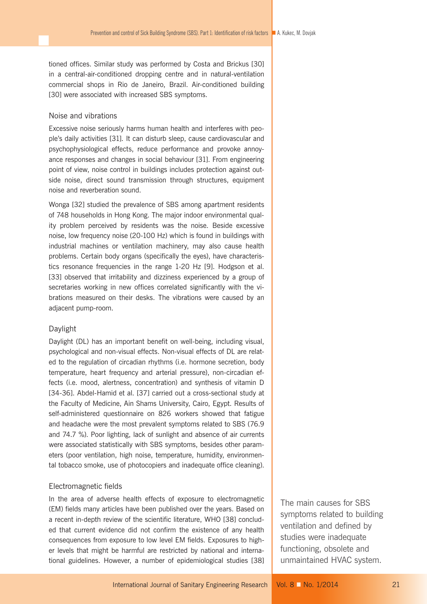tioned offices. Similar study was performed by Costa and Brickus [30] in a central-air-conditioned dropping centre and in natural-ventilation commercial shops in Rio de Janeiro, Brazil. Air-conditioned building [30] were associated with increased SBS symptoms.

# Noise and vibrations

Excessive noise seriously harms human health and interferes with people's daily activities [31]. It can disturb sleep, cause cardiovascular and psychophysiological effects, reduce performance and provoke annoyance responses and changes in social behaviour [31]. From engineering point of view, noise control in buildings includes protection against outside noise, direct sound transmission through structures, equipment noise and reverberation sound.

Wonga [32] studied the prevalence of SBS among apartment residents of 748 households in Hong Kong. The major indoor environmental quality problem perceived by residents was the noise. Beside excessive noise, low frequency noise (20-100 Hz) which is found in buildings with industrial machines or ventilation machinery, may also cause health problems. Certain body organs (specifically the eyes), have characteristics resonance frequencies in the range 1-20 Hz [9]. Hodgson et al. [33] observed that irritability and dizziness experienced by a group of secretaries working in new offices correlated significantly with the vibrations measured on their desks. The vibrations were caused by an adjacent pump-room.

# Daylight

Daylight (DL) has an important benefit on well-being, including visual, psychological and non-visual effects. Non-visual effects of DL are related to the regulation of circadian rhythms (i.e. hormone secretion, body temperature, heart frequency and arterial pressure), non-circadian effects (i.e. mood, alertness, concentration) and synthesis of vitamin D [34-36]. Abdel-Hamid et al. [37] carried out a cross-sectional study at the Faculty of Medicine, Ain Shams University, Cairo, Egypt. Results of self-administered questionnaire on 826 workers showed that fatigue and headache were the most prevalent symptoms related to SBS (76.9 and 74.7 %). Poor lighting, lack of sunlight and absence of air currents were associated statistically with SBS symptoms, besides other parameters (poor ventilation, high noise, temperature, humidity, environmental tobacco smoke, use of photocopiers and inadequate office cleaning).

#### Electromagnetic fields

In the area of adverse health effects of exposure to electromagnetic (EM) fields many articles have been published over the years. Based on a recent in-depth review of the scientific literature, WHO [38] concluded that current evidence did not confirm the existence of any health consequences from exposure to low level EM fields. Exposures to higher levels that might be harmful are restricted by national and international guidelines. However, a number of epidemiological studies [38]

The main causes for SBS symptoms related to building ventilation and defined by studies were inadequate functioning, obsolete and unmaintained HVAC system.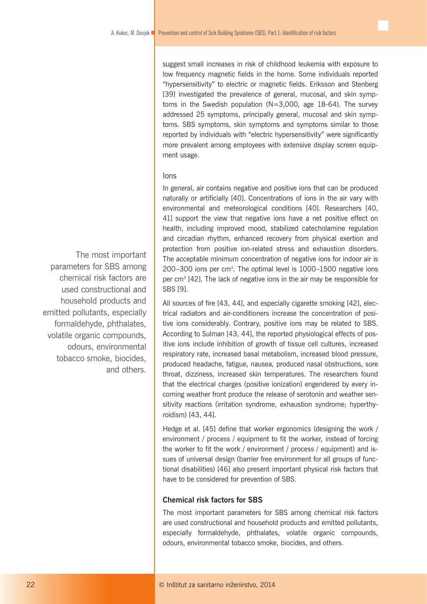suggest small increases in risk of childhood leukemia with exposure to low frequency magnetic fields in the home. Some individuals reported "hypersensitivity" to electric or magnetic fields. Eriksson and Stenberg [39] investigated the prevalence of general, mucosal, and skin symptoms in the Swedish population (N=3,000, age 18-64). The survey addressed 25 symptoms, principally general, mucosal and skin symptoms. SBS symptoms, skin symptoms and symptoms similar to those reported by individuals with "electric hypersensitivity" were significantly more prevalent among employees with extensive display screen equipment usage.

# Ions

In general, air contains negative and positive ions that can be produced naturally or artificially [40]. Concentrations of ions in the air vary with environmental and meteorological conditions [40]. Researchers [40, 41] support the view that negative ions have a net positive effect on health, including improved mood, stabilized catecholamine regulation and circadian rhythm, enhanced recovery from physical exertion and protection from positive ion-related stress and exhaustion disorders. The acceptable minimum concentration of negative ions for indoor air is 200–300 ions per cm3. The optimal level is 1000–1500 negative ions per cm3 [42]. The lack of negative ions in the air may be responsible for SBS [9].

All sources of fire [43, 44], and especially cigarette smoking [42], electrical radiators and air-conditioners increase the concentration of positive ions considerably. Contrary, positive ions may be related to SBS. According to Sulman [43, 44], the reported physiological effects of positive ions include inhibition of growth of tissue cell cultures, increased respiratory rate, increased basal metabolism, increased blood pressure, produced headache, fatigue, nausea, produced nasal obstructions, sore throat, dizziness, increased skin temperatures. The researchers found that the electrical charges (positive ionization) engendered by every incoming weather front produce the release of serotonin and weather sensitivity reactions (irritation syndrome, exhaustion syndrome; hyperthyroidism) [43, 44].

Hedge et al. [45] define that worker ergonomics (designing the work / environment / process / equipment to fit the worker, instead of forcing the worker to fit the work / environment / process / equipment) and issues of universal design (barrier free environment for all groups of functional disabilities) [46] also present important physical risk factors that have to be considered for prevention of SBS.

# **Chemical risk factors for SBS**

The most important parameters for SBS among chemical risk factors are used constructional and household products and emitted pollutants, especially formaldehyde, phthalates, volatile organic compounds, odours, environmental tobacco smoke, biocides, and others.

The most important parameters for SBS among chemical risk factors are used constructional and household products and emitted pollutants, especially formaldehyde, phthalates, volatile organic compounds, odours, environmental tobacco smoke, biocides, and others.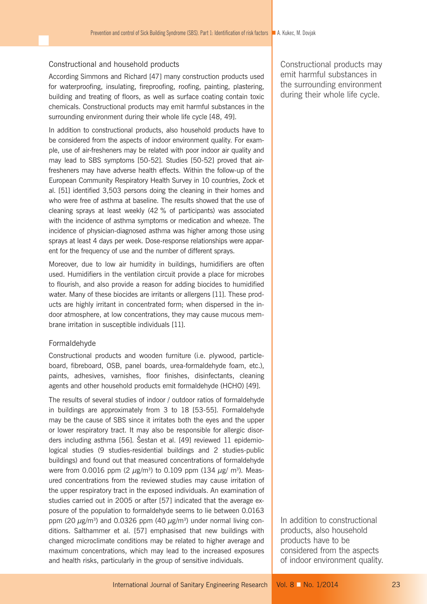# Constructional and household products

According Simmons and Richard [47] many construction products used for waterproofing, insulating, fireproofing, roofing, painting, plastering, building and treating of floors, as well as surface coating contain toxic chemicals. Constructional products may emit harmful substances in the surrounding environment during their whole life cycle [48, 49].

In addition to constructional products, also household products have to be considered from the aspects of indoor environment quality. For example, use of air-fresheners may be related with poor indoor air quality and may lead to SBS symptoms [50-52]. Studies [50-52] proved that airfresheners may have adverse health effects. Within the follow-up of the European Community Respiratory Health Survey in 10 countries, Zock et al. [51] identified 3,503 persons doing the cleaning in their homes and who were free of asthma at baseline. The results showed that the use of cleaning sprays at least weekly (42 % of participants) was associated with the incidence of asthma symptoms or medication and wheeze. The incidence of physician-diagnosed asthma was higher among those using sprays at least 4 days per week. Dose-response relationships were apparent for the frequency of use and the number of different sprays.

Moreover, due to low air humidity in buildings, humidifiers are often used. Humidifiers in the ventilation circuit provide a place for microbes to flourish, and also provide a reason for adding biocides to humidified water. Many of these biocides are irritants or allergens [11]. These products are highly irritant in concentrated form; when dispersed in the indoor atmosphere, at low concentrations, they may cause mucous membrane irritation in susceptible individuals [11].

## Formaldehyde

Constructional products and wooden furniture (i.e. plywood, particleboard, fibreboard, OSB, panel boards, urea-formaldehyde foam, etc.), paints, adhesives, varnishes, floor finishes, disinfectants, cleaning agents and other household products emit formaldehyde (HCHO) [49].

The results of several studies of indoor / outdoor ratios of formaldehyde in buildings are approximately from 3 to 18 [53-55]. Formaldehyde may be the cause of SBS since it irritates both the eyes and the upper or lower respiratory tract. It may also be responsible for allergic disorders including asthma [56]. Šestan et al. [49] reviewed 11 epidemiological studies (9 studies-residential buildings and 2 studies-public buildings) and found out that measured concentrations of formaldehyde were from 0.0016 ppm (2  $\mu$ g/m<sup>3</sup>) to 0.109 ppm (134  $\mu$ g/ m<sup>3</sup>). Measured concentrations from the reviewed studies may cause irritation of the upper respiratory tract in the exposed individuals. An examination of studies carried out in 2005 or after [57] indicated that the average exposure of the population to formaldehyde seems to lie between 0.0163 ppm (20  $\mu$ g/m<sup>3</sup>) and 0.0326 ppm (40  $\mu$ g/m<sup>3</sup>) under normal living conditions. Salthammer et al. [57] emphasised that new buildings with changed microclimate conditions may be related to higher average and maximum concentrations, which may lead to the increased exposures and health risks, particularly in the group of sensitive individuals.

Constructional products may emit harmful substances in the surrounding environment during their whole life cycle.

In addition to constructional products, also household products have to be considered from the aspects of indoor environment quality.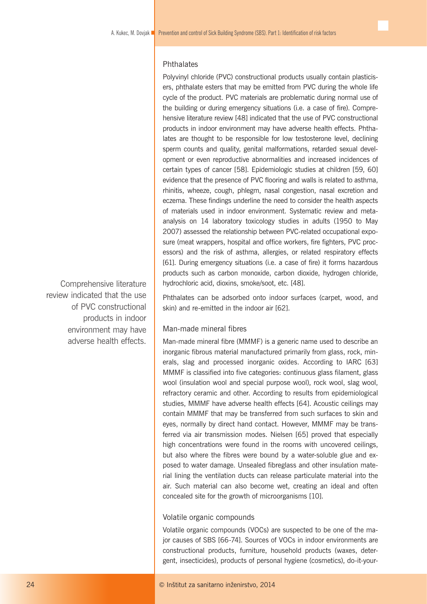# **Phthalates**

Polyvinyl chloride (PVC) constructional products usually contain plasticisers, phthalate esters that may be emitted from PVC during the whole life cycle of the product. PVC materials are problematic during normal use of the building or during emergency situations (i.e. a case of fire). Comprehensive literature review [48] indicated that the use of PVC constructional products in indoor environment may have adverse health effects. Phthalates are thought to be responsible for low testosterone level, declining sperm counts and quality, genital malformations, retarded sexual development or even reproductive abnormalities and increased incidences of certain types of cancer [58]. Epidemiologic studies at children [59, 60] evidence that the presence of PVC flooring and walls is related to asthma, rhinitis, wheeze, cough, phlegm, nasal congestion, nasal excretion and eczema. These findings underline the need to consider the health aspects of materials used in indoor environment. Systematic review and metaanalysis on 14 laboratory toxicology studies in adults (1950 to May 2007) assessed the relationship between PVC-related occupational exposure (meat wrappers, hospital and office workers, fire fighters, PVC processors) and the risk of asthma, allergies, or related respiratory effects [61]. During emergency situations (i.e. a case of fire) it forms hazardous products such as carbon monoxide, carbon dioxide, hydrogen chloride, hydrochloric acid, dioxins, smoke/soot, etc. [48].

Phthalates can be adsorbed onto indoor surfaces (carpet, wood, and skin) and re-emitted in the indoor air [62].

# Man-made mineral fibres

Man-made mineral fibre (MMMF) is a generic name used to describe an inorganic fibrous material manufactured primarily from glass, rock, minerals, slag and processed inorganic oxides. According to IARC [63] MMMF is classified into five categories: continuous glass filament, glass wool (insulation wool and special purpose wool), rock wool, slag wool, refractory ceramic and other. According to results from epidemiological studies, MMMF have adverse health effects [64]. Acoustic ceilings may contain MMMF that may be transferred from such surfaces to skin and eyes, normally by direct hand contact. However, MMMF may be transferred via air transmission modes. Nielsen [65] proved that especially high concentrations were found in the rooms with uncovered ceilings, but also where the fibres were bound by a water-soluble glue and exposed to water damage. Unsealed fibreglass and other insulation material lining the ventilation ducts can release particulate material into the air. Such material can also become wet, creating an ideal and often concealed site for the growth of microorganisms [10].

#### Volatile organic compounds

Volatile organic compounds (VOCs) are suspected to be one of the major causes of SBS [66-74]. Sources of VOCs in indoor environments are constructional products, furniture, household products (waxes, detergent, insecticides), products of personal hygiene (cosmetics), do-it-your-

Comprehensive literature review indicated that the use of PVC constructional products in indoor environment may have adverse health effects.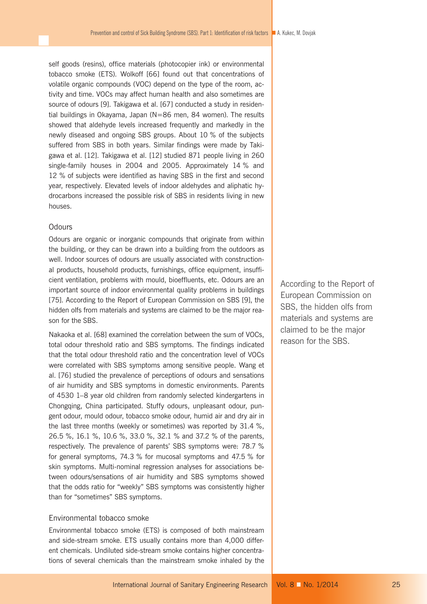self goods (resins), office materials (photocopier ink) or environmental tobacco smoke (ETS). Wolkoff [66] found out that concentrations of volatile organic compounds (VOC) depend on the type of the room, activity and time. VOCs may affect human health and also sometimes are source of odours [9]. Takigawa et al. [67] conducted a study in residential buildings in Okayama, Japan (N=86 men, 84 women). The results showed that aldehyde levels increased frequently and markedly in the newly diseased and ongoing SBS groups. About 10 % of the subjects suffered from SBS in both years. Similar findings were made by Takigawa et al. [12]. Takigawa et al. [12] studied 871 people living in 260 single-family houses in 2004 and 2005. Approximately 14 % and 12 % of subjects were identified as having SBS in the first and second year, respectively. Elevated levels of indoor aldehydes and aliphatic hydrocarbons increased the possible risk of SBS in residents living in new houses.

#### **Odours**

Odours are organic or inorganic compounds that originate from within the building, or they can be drawn into a building from the outdoors as well. Indoor sources of odours are usually associated with constructional products, household products, furnishings, office equipment, insufficient ventilation, problems with mould, bioeffluents, etc. Odours are an important source of indoor environmental quality problems in buildings [75]. According to the Report of European Commission on SBS [9], the hidden olfs from materials and systems are claimed to be the major reason for the SBS.

Nakaoka et al. [68] examined the correlation between the sum of VOCs, total odour threshold ratio and SBS symptoms. The findings indicated that the total odour threshold ratio and the concentration level of VOCs were correlated with SBS symptoms among sensitive people. Wang et al. [76] studied the prevalence of perceptions of odours and sensations of air humidity and SBS symptoms in domestic environments. Parents of 4530 1–8 year old children from randomly selected kindergartens in Chongqing, China participated. Stuffy odours, unpleasant odour, pungent odour, mould odour, tobacco smoke odour, humid air and dry air in the last three months (weekly or sometimes) was reported by 31.4 %, 26.5 %, 16.1 %, 10.6 %, 33.0 %, 32.1 % and 37.2 % of the parents, respectively. The prevalence of parents' SBS symptoms were: 78.7 % for general symptoms, 74.3 % for mucosal symptoms and 47.5 % for skin symptoms. Multi-nominal regression analyses for associations between odours/sensations of air humidity and SBS symptoms showed that the odds ratio for "weekly" SBS symptoms was consistently higher than for "sometimes" SBS symptoms.

# Environmental tobacco smoke

Environmental tobacco smoke (ETS) is composed of both mainstream and side-stream smoke. ETS usually contains more than 4,000 different chemicals. Undiluted side-stream smoke contains higher concentrations of several chemicals than the mainstream smoke inhaled by the According to the Report of European Commission on SBS, the hidden olfs from materials and systems are claimed to be the major reason for the SBS.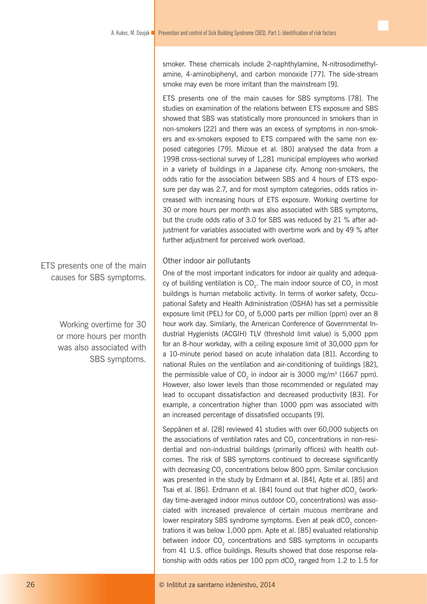smoker. These chemicals include 2-naphthylamine, N-nitrosodimethylamine, 4-aminobiphenyl, and carbon monoxide [77]. The side-stream smoke may even be more irritant than the mainstream [9].

ETS presents one of the main causes for SBS symptoms [78]. The studies on examination of the relations between ETS exposure and SBS showed that SBS was statistically more pronounced in smokers than in non-smokers [22] and there was an excess of symptoms in non-smokers and ex-smokers exposed to ETS compared with the same non exposed categories [79]. Mizoue et al. [80] analysed the data from a 1998 cross-sectional survey of 1,281 municipal employees who worked in a variety of buildings in a Japanese city. Among non-smokers, the odds ratio for the association between SBS and 4 hours of ETS exposure per day was 2.7, and for most symptom categories, odds ratios increased with increasing hours of ETS exposure. Working overtime for 30 or more hours per month was also associated with SBS symptoms, but the crude odds ratio of 3.0 for SBS was reduced by 21 % after adjustment for variables associated with overtime work and by 49 % after further adjustment for perceived work overload.

# Other indoor air pollutants

One of the most important indicators for indoor air quality and adequacy of building ventilation is  $\mathsf{CO}_{2}$ . The main indoor source of  $\mathsf{CO}_{2}$  in most buildings is human metabolic activity. In terms of worker safety, Occupational Safety and Health Administration (OSHA) has set a permissible exposure limit (PEL) for CO<sub>2</sub> of 5,000 parts per million (ppm) over an 8 hour work day. Similarly, the American Conference of Governmental Industrial Hygienists (ACGIH) TLV (threshold limit value) is 5,000 ppm for an 8-hour workday, with a ceiling exposure limit of 30,000 ppm for a 10-minute period based on acute inhalation data [81]. According to national Rules on the ventilation and air-conditioning of buildings [82], the permissible value of  $CO<sub>2</sub>$  in indoor air is 3000 mg/m<sup>3</sup> (1667 ppm). However, also lower levels than those recommended or regulated may lead to occupant dissatisfaction and decreased productivity [83]. For example, a concentration higher than 1000 ppm was associated with an increased percentage of dissatisfied occupants [9].

Seppänen et al. [28] reviewed 41 studies with over 60,000 subjects on the associations of ventilation rates and CO<sub>2</sub> concentrations in non-residential and non-industrial buildings (primarily offices) with health outcomes. The risk of SBS symptoms continued to decrease significantly with decreasing  $CO<sub>2</sub>$  concentrations below 800 ppm. Similar conclusion was presented in the study by Erdmann et al. [84], Apte et al. [85] and Tsai et al. [86]. Erdmann et al. [84] found out that higher dCO<sub>2</sub> (workday time-averaged indoor minus outdoor CO<sub>2</sub> concentrations) was associated with increased prevalence of certain mucous membrane and lower respiratory SBS syndrome symptoms. Even at peak dCO<sub>2</sub> concentrations it was below 1,000 ppm. Apte et al. [85] evaluated relationship between indoor CO<sub>2</sub> concentrations and SBS symptoms in occupants from 41 U.S. office buildings. Results showed that dose response relationship with odds ratios per 100 ppm  $dCO<sub>2</sub>$  ranged from 1.2 to 1.5 for

ETS presents one of the main causes for SBS symptoms.

> Working overtime for 30 or more hours per month was also associated with SBS symptoms.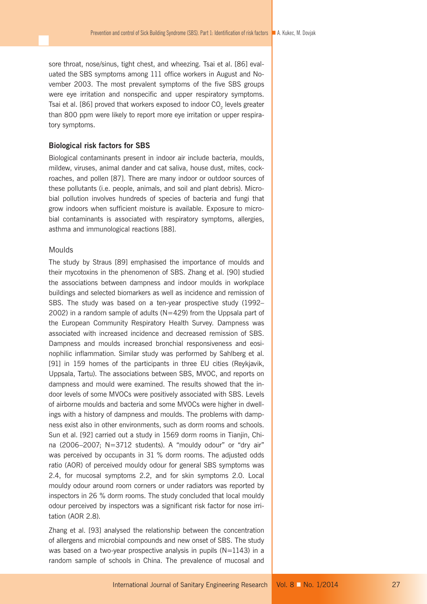sore throat, nose/sinus, tight chest, and wheezing. Tsai et al. [86] evaluated the SBS symptoms among 111 office workers in August and November 2003. The most prevalent symptoms of the five SBS groups were eye irritation and nonspecific and upper respiratory symptoms. Tsai et al. [86] proved that workers exposed to indoor CO<sub>2</sub> levels greater than 800 ppm were likely to report more eye irritation or upper respiratory symptoms.

# **Biological risk factors for SBS**

Biological contaminants present in indoor air include bacteria, moulds, mildew, viruses, animal dander and cat saliva, house dust, mites, cockroaches, and pollen [87]. There are many indoor or outdoor sources of these pollutants (i.e. people, animals, and soil and plant debris). Microbial pollution involves hundreds of species of bacteria and fungi that grow indoors when sufficient moisture is available. Exposure to microbial contaminants is associated with respiratory symptoms, allergies, asthma and immunological reactions [88].

# Moulds

The study by Straus [89] emphasised the importance of moulds and their mycotoxins in the phenomenon of SBS. Zhang et al. [90] studied the associations between dampness and indoor moulds in workplace buildings and selected biomarkers as well as incidence and remission of SBS. The study was based on a ten-year prospective study (1992– 2002) in a random sample of adults (N=429) from the Uppsala part of the European Community Respiratory Health Survey. Dampness was associated with increased incidence and decreased remission of SBS. Dampness and moulds increased bronchial responsiveness and eosinophilic inflammation. Similar study was performed by Sahlberg et al. [91] in 159 homes of the participants in three EU cities (Reykjavik, Uppsala, Tartu). The associations between SBS, MVOC, and reports on dampness and mould were examined. The results showed that the indoor levels of some MVOCs were positively associated with SBS. Levels of airborne moulds and bacteria and some MVOCs were higher in dwellings with a history of dampness and moulds. The problems with dampness exist also in other environments, such as dorm rooms and schools. Sun et al. [92] carried out a study in 1569 dorm rooms in Tianjin, China (2006–2007; N=3712 students). A "mouldy odour" or "dry air" was perceived by occupants in 31 % dorm rooms. The adjusted odds ratio (AOR) of perceived mouldy odour for general SBS symptoms was 2.4, for mucosal symptoms 2.2, and for skin symptoms 2.0. Local mouldy odour around room corners or under radiators was reported by inspectors in 26 % dorm rooms. The study concluded that local mouldy odour perceived by inspectors was a significant risk factor for nose irritation (AOR 2.8).

Zhang et al. [93] analysed the relationship between the concentration of allergens and microbial compounds and new onset of SBS. The study was based on a two-year prospective analysis in pupils (N=1143) in a random sample of schools in China. The prevalence of mucosal and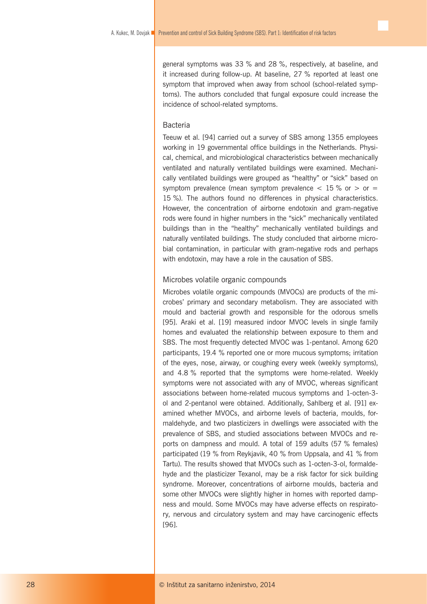general symptoms was 33 % and 28 %, respectively, at baseline, and it increased during follow-up. At baseline, 27 % reported at least one symptom that improved when away from school (school-related symptoms). The authors concluded that fungal exposure could increase the incidence of school-related symptoms.

# Bacteria

Teeuw et al. [94] carried out a survey of SBS among 1355 employees working in 19 governmental office buildings in the Netherlands. Physical, chemical, and microbiological characteristics between mechanically ventilated and naturally ventilated buildings were examined. Mechanically ventilated buildings were grouped as "healthy" or "sick" based on symptom prevalence (mean symptom prevalence  $<$  15 % or  $>$  or  $=$ 15 %). The authors found no differences in physical characteristics. However, the concentration of airborne endotoxin and gram-negative rods were found in higher numbers in the "sick" mechanically ventilated buildings than in the "healthy" mechanically ventilated buildings and naturally ventilated buildings. The study concluded that airborne microbial contamination, in particular with gram-negative rods and perhaps with endotoxin, may have a role in the causation of SBS.

## Microbes volatile organic compounds

Microbes volatile organic compounds (MVOCs) are products of the microbes' primary and secondary metabolism. They are associated with mould and bacterial growth and responsible for the odorous smells [95]. Araki et al. [19] measured indoor MVOC levels in single family homes and evaluated the relationship between exposure to them and SBS. The most frequently detected MVOC was 1-pentanol. Among 620 participants, 19.4 % reported one or more mucous symptoms; irritation of the eyes, nose, airway, or coughing every week (weekly symptoms), and 4.8 % reported that the symptoms were home-related. Weekly symptoms were not associated with any of MVOC, whereas significant associations between home-related mucous symptoms and 1-octen-3 ol and 2-pentanol were obtained. Additionally, Sahlberg et al. [91] examined whether MVOCs, and airborne levels of bacteria, moulds, formaldehyde, and two plasticizers in dwellings were associated with the prevalence of SBS, and studied associations between MVOCs and reports on dampness and mould. A total of 159 adults (57 % females) participated (19 % from Reykjavik, 40 % from Uppsala, and 41 % from Tartu). The results showed that MVOCs such as 1-octen-3-ol, formaldehyde and the plasticizer Texanol, may be a risk factor for sick building syndrome. Moreover, concentrations of airborne moulds, bacteria and some other MVOCs were slightly higher in homes with reported dampness and mould. Some MVOCs may have adverse effects on respiratory, nervous and circulatory system and may have carcinogenic effects [96].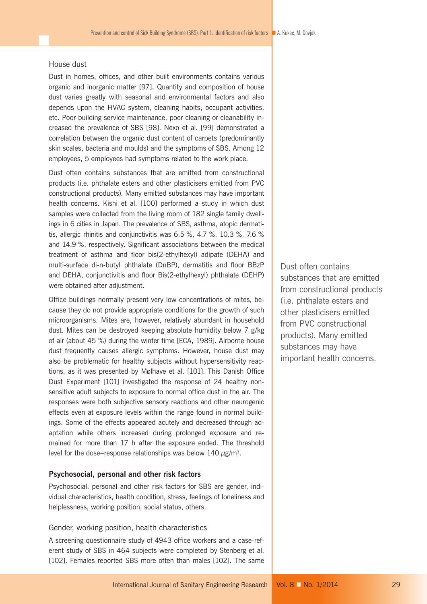#### House dust

Dust in homes, offices, and other built environments contains various organic and inorganic matter [97]. Quantity and composition of house dust varies greatly with seasonal and environmental factors and also depends upon the HVAC system, cleaning habits, occupant activities, etc. Poor building service maintenance, poor cleaning or cleanability increased the prevalence of SBS [98]. Nexo et al. [99] demonstrated a correlation between the organic dust content of carpets (predominantly skin scales, bacteria and moulds) and the symptoms of SBS. Among 12 employees, 5 employees had symptoms related to the work place.

Dust often contains substances that are emitted from constructional products (i.e. phthalate esters and other plasticisers emitted from PVC constructional products). Many emitted substances may have important health concerns. Kishi et al. [100] performed a study in which dust samples were collected from the living room of 182 single family dwellings in 6 cities in Japan. The prevalence of SBS, asthma, atopic dermatitis, allergic rhinitis and conjunctivitis was 6.5 %, 4.7 %, 10.3 %, 7.6 % and 14.9 %, respectively. Significant associations between the medical treatment of asthma and floor bis(2-ethylhexyl) adipate (DEHA) and multi-surface di-n-butyl phthalate (DnBP), dermatitis and floor BBzP and DEHA, conjunctivitis and floor Bis(2-ethylhexyl) phthalate (DEHP) were obtained after adjustment.

Office buildings normally present very low concentrations of mites, because they do not provide appropriate conditions for the growth of such microorganisms. Mites are, however, relatively abundant in household dust. Mites can be destroyed keeping absolute humidity below 7 g/kg of air (about 45 %) during the winter time [ECA, 1989]. Airborne house dust frequently causes allergic symptoms. However, house dust may also be problematic for healthy subjects without hypersensitivity reactions, as it was presented by Mølhave et al. [101]. This Danish Office Dust Experiment [101] investigated the response of 24 healthy nonsensitive adult subjects to exposure to normal office dust in the air. The responses were both subjective sensory reactions and other neurogenic effects even at exposure levels within the range found in normal buildings. Some of the effects appeared acutely and decreased through adaptation while others increased during prolonged exposure and remained for more than 17 h after the exposure ended. The threshold level for the dose–response relationships was below 140  $\mu$ g/m<sup>3</sup>.

# **Psychosocial, personal and other risk factors**

Psychosocial, personal and other risk factors for SBS are gender, individual characteristics, health condition, stress, feelings of loneliness and helplessness, working position, social status, others.

## Gender, working position, health characteristics

A screening questionnaire study of 4943 office workers and a case-referent study of SBS in 464 subjects were completed by Stenberg et al. [102]. Females reported SBS more often than males [102]. The same Dust often contains substances that are emitted from constructional products (i.e. phthalate esters and other plasticisers emitted from PVC constructional products). Many emitted substances may have important health concerns.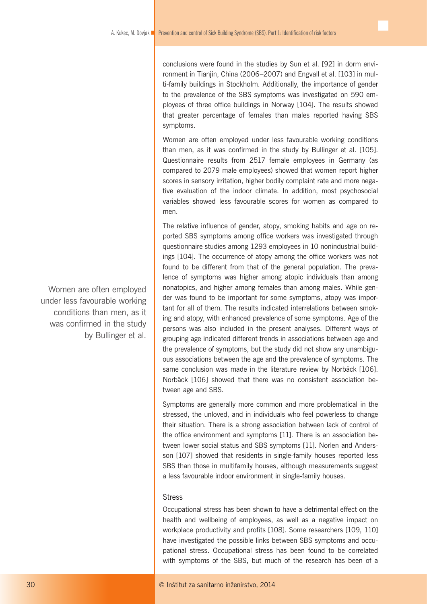conclusions were found in the studies by Sun et al. [92] in dorm environment in Tianjin, China (2006–2007) and Engvall et al. [103] in multi-family buildings in Stockholm. Additionally, the importance of gender to the prevalence of the SBS symptoms was investigated on 590 employees of three office buildings in Norway [104]. The results showed that greater percentage of females than males reported having SBS symptoms.

Women are often employed under less favourable working conditions than men, as it was confirmed in the study by Bullinger et al. [105]. Questionnaire results from 2517 female employees in Germany (as compared to 2079 male employees) showed that women report higher scores in sensory irritation, higher bodily complaint rate and more negative evaluation of the indoor climate. In addition, most psychosocial variables showed less favourable scores for women as compared to men.

The relative influence of gender, atopy, smoking habits and age on reported SBS symptoms among office workers was investigated through questionnaire studies among 1293 employees in 10 nonindustrial buildings [104]. The occurrence of atopy among the office workers was not found to be different from that of the general population. The prevalence of symptoms was higher among atopic individuals than among nonatopics, and higher among females than among males. While gender was found to be important for some symptoms, atopy was important for all of them. The results indicated interrelations between smoking and atopy, with enhanced prevalence of some symptoms. Age of the persons was also included in the present analyses. Different ways of grouping age indicated different trends in associations between age and the prevalence of symptoms, but the study did not show any unambiguous associations between the age and the prevalence of symptoms. The same conclusion was made in the literature review by Norbäck [106]. Norbäck [106] showed that there was no consistent association between age and SBS.

Symptoms are generally more common and more problematical in the stressed, the unloved, and in individuals who feel powerless to change their situation. There is a strong association between lack of control of the office environment and symptoms [11]. There is an association between lower social status and SBS symptoms [11]. Norlen and Andersson [107] showed that residents in single-family houses reported less SBS than those in multifamily houses, although measurements suggest a less favourable indoor environment in single-family houses.

## **Stress**

Occupational stress has been shown to have a detrimental effect on the health and wellbeing of employees, as well as a negative impact on workplace productivity and profits [108]. Some researchers [109, 110] have investigated the possible links between SBS symptoms and occupational stress. Occupational stress has been found to be correlated with symptoms of the SBS, but much of the research has been of a

Women are often employed under less favourable working conditions than men, as it was confirmed in the study by Bullinger et al.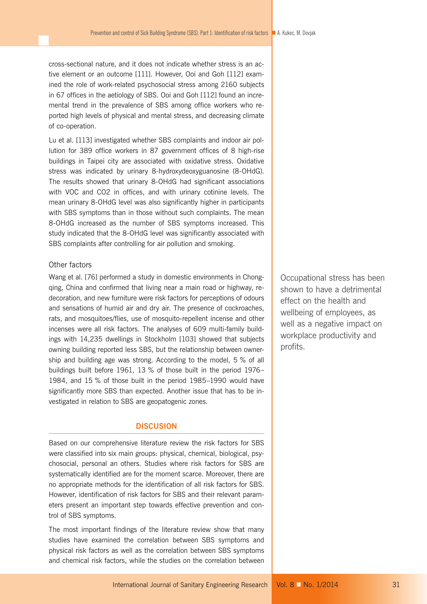cross-sectional nature, and it does not indicate whether stress is an active element or an outcome [111]. However, Ooi and Goh [112] examined the role of work-related psychosocial stress among 2160 subjects in 67 offices in the aetiology of SBS. Ooi and Goh [112] found an incremental trend in the prevalence of SBS among office workers who reported high levels of physical and mental stress, and decreasing climate of co-operation.

Lu et al. [113] investigated whether SBS complaints and indoor air pollution for 389 office workers in 87 government offices of 8 high-rise buildings in Taipei city are associated with oxidative stress. Oxidative stress was indicated by urinary 8-hydroxydeoxyguanosine (8-OHdG). The results showed that urinary 8-OHdG had significant associations with VOC and CO2 in offices, and with urinary cotinine levels. The mean urinary 8-OHdG level was also significantly higher in participants with SBS symptoms than in those without such complaints. The mean 8-OHdG increased as the number of SBS symptoms increased. This study indicated that the 8-OHdG level was significantly associated with SBS complaints after controlling for air pollution and smoking.

# Other factors

Wang et al. [76] performed a study in domestic environments in Chongqing, China and confirmed that living near a main road or highway, redecoration, and new furniture were risk factors for perceptions of odours and sensations of humid air and dry air. The presence of cockroaches, rats, and mosquitoes/flies, use of mosquito-repellent incense and other incenses were all risk factors. The analyses of 609 multi-family buildings with 14,235 dwellings in Stockholm [103] showed that subjects owning building reported less SBS, but the relationship between ownership and building age was strong. According to the model, 5 % of all buildings built before 1961, 13 % of those built in the period 1976– 1984, and 15 % of those built in the period 1985–1990 would have significantly more SBS than expected. Another issue that has to be investigated in relation to SBS are geopatogenic zones.

# **DISCUSION**

Based on our comprehensive literature review the risk factors for SBS were classified into six main groups: physical, chemical, biological, psychosocial, personal an others. Studies where risk factors for SBS are systematically identified are for the moment scarce. Moreover, there are no appropriate methods for the identification of all risk factors for SBS. However, identification of risk factors for SBS and their relevant parameters present an important step towards effective prevention and control of SBS symptoms.

The most important findings of the literature review show that many studies have examined the correlation between SBS symptoms and physical risk factors as well as the correlation between SBS symptoms and chemical risk factors, while the studies on the correlation between Occupational stress has been shown to have a detrimental effect on the health and wellbeing of employees, as well as a negative impact on workplace productivity and profits.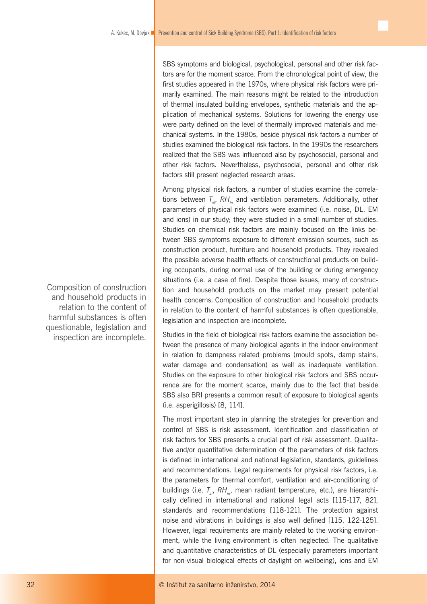SBS symptoms and biological, psychological, personal and other risk factors are for the moment scarce. From the chronological point of view, the first studies appeared in the 1970s, where physical risk factors were primarily examined. The main reasons might be related to the introduction of thermal insulated building envelopes, synthetic materials and the application of mechanical systems. Solutions for lowering the energy use were party defined on the level of thermally improved materials and mechanical systems. In the 1980s, beside physical risk factors a number of studies examined the biological risk factors. In the 1990s the researchers realized that the SBS was influenced also by psychosocial, personal and other risk factors. Nevertheless, psychosocial, personal and other risk factors still present neglected research areas.

Among physical risk factors, a number of studies examine the correlations between  $T_{ai}$ , RH<sub>in</sub> and ventilation parameters. Additionally, other parameters of physical risk factors were examined (i.e. noise, DL, EM and ions) in our study; they were studied in a small number of studies. Studies on chemical risk factors are mainly focused on the links between SBS symptoms exposure to different emission sources, such as construction product, furniture and household products. They revealed the possible adverse health effects of constructional products on building occupants, during normal use of the building or during emergency situations (i.e. a case of fire). Despite those issues, many of construction and household products on the market may present potential health concerns. Composition of construction and household products in relation to the content of harmful substances is often questionable, legislation and inspection are incomplete.

Studies in the field of biological risk factors examine the association between the presence of many biological agents in the indoor environment in relation to dampness related problems (mould spots, damp stains, water damage and condensation) as well as inadequate ventilation. Studies on the exposure to other biological risk factors and SBS occurrence are for the moment scarce, mainly due to the fact that beside SBS also BRI presents a common result of exposure to biological agents (i.e. asperigillosis) [8, 114].

The most important step in planning the strategies for prevention and control of SBS is risk assessment. Identification and classification of risk factors for SBS presents a crucial part of risk assessment. Qualitative and/or quantitative determination of the parameters of risk factors is defined in international and national legislation, standards, guidelines and recommendations. Legal requirements for physical risk factors, i.e. the parameters for thermal comfort, ventilation and air-conditioning of buildings (i.e. *T<sub>ai</sub>*, *RH<sub>in</sub>*, mean radiant temperature, etc.), are hierarchically defined in international and national legal acts [115-117, 82], standards and recommendations [118-121]. The protection against noise and vibrations in buildings is also well defined [115, 122-125]. However, legal requirements are mainly related to the working environment, while the living environment is often neglected. The qualitative and quantitative characteristics of DL (especially parameters important for non-visual biological effects of daylight on wellbeing), ions and EM

Composition of construction and household products in relation to the content of harmful substances is often questionable, legislation and inspection are incomplete.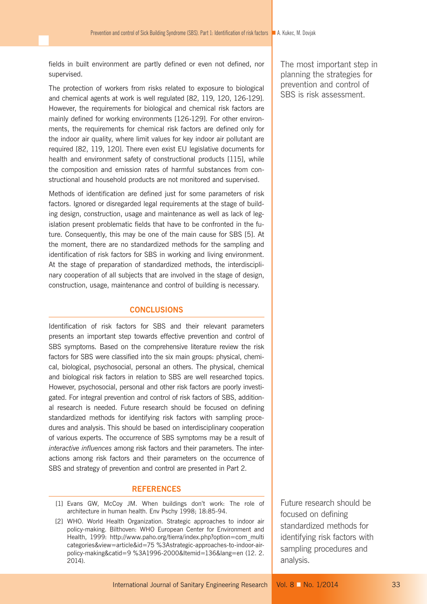fields in built environment are partly defined or even not defined, nor supervised.

The protection of workers from risks related to exposure to biological and chemical agents at work is well regulated [82, 119, 120, 126-129]. However, the requirements for biological and chemical risk factors are mainly defined for working environments [126-129]. For other environments, the requirements for chemical risk factors are defined only for the indoor air quality, where limit values for key indoor air pollutant are required [82, 119, 120]. There even exist EU legislative documents for health and environment safety of constructional products [115], while the composition and emission rates of harmful substances from constructional and household products are not monitored and supervised.

Methods of identification are defined just for some parameters of risk factors. Ignored or disregarded legal requirements at the stage of building design, construction, usage and maintenance as well as lack of legislation present problematic fields that have to be confronted in the future. Consequently, this may be one of the main cause for SBS [5]. At the moment, there are no standardized methods for the sampling and identification of risk factors for SBS in working and living environment. At the stage of preparation of standardized methods, the interdisciplinary cooperation of all subjects that are involved in the stage of design, construction, usage, maintenance and control of building is necessary.

# **CONCLUSIONS**

Identification of risk factors for SBS and their relevant parameters presents an important step towards effective prevention and control of SBS symptoms. Based on the comprehensive literature review the risk factors for SBS were classified into the six main groups: physical, chemical, biological, psychosocial, personal an others. The physical, chemical and biological risk factors in relation to SBS are well researched topics. However, psychosocial, personal and other risk factors are poorly investigated. For integral prevention and control of risk factors of SBS, additional research is needed. Future research should be focused on defining standardized methods for identifying risk factors with sampling procedures and analysis. This should be based on interdisciplinary cooperation of various experts. The occurrence of SBS symptoms may be a result of *interactive influences* among risk factors and their parameters. The interactions among risk factors and their parameters on the occurrence of SBS and strategy of prevention and control are presented in Part 2.

# **REFERENCES**

- [1] Evans GW, McCoy JM. When buildings don't work: The role of architecture in human health. Env Pschy 1998; 18:85-94.
- [2] WHO. World Health Organization. Strategic approaches to indoor air policy-making. Bilthoven: WHO European Center for Environment and Health, 1999: http://www.paho.org/tierra/index.php?option=com\_multi categories&view=article&id=75 %3Astrategic-approaches-to-indoor-airpolicy-making&catid=9 %3A1996-2000&Itemid=136&lang=en (12. 2. 2014).

Future research should be focused on defining standardized methods for identifying risk factors with sampling procedures and analysis.

The most important step in planning the strategies for prevention and control of SBS is risk assessment.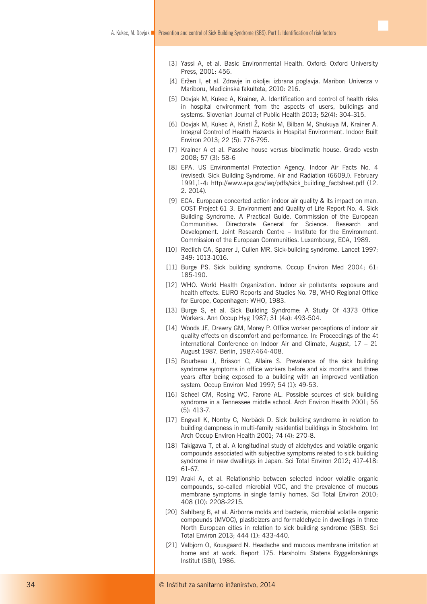- [3] Yassi A, et al. Basic Environmental Health. Oxford: Oxford University Press, 2001: 456.
- [4] Eržen I, et al. Zdravje in okolje: izbrana poglavja. Maribor: Univerza v Mariboru, Medicinska fakulteta, 2010: 216.
- [5] Dovjak M, Kukec A, Krainer, A. Identification and control of health risks in hospital environment from the aspects of users, buildings and systems. Slovenian Journal of Public Health 2013; 52(4): 304-315.
- [6] Dovjak M, Kukec A, Kristl Ž, Košir M, Bilban M, Shukuya M, Krainer A. Integral Control of Health Hazards in Hospital Environment. Indoor Built Environ 2013; 22 (5): 776-795.
- [7] Krainer A et al. Passive house versus bioclimatic house. Gradb vestn 2008; 57 (3): 58-6
- [8] EPA. US Environmental Protection Agency. Indoor Air Facts No. 4 (revised). Sick Building Syndrome. Air and Radiation (6609J). February 1991,1-4: http://www.epa.gov/iaq/pdfs/sick\_building\_factsheet.pdf (12. 2. 2014).
- [9] ECA. European concerted action indoor air quality & its impact on man. COST Project 61 3. Environment and Quality of Life Report No. 4. Sick Building Syndrome. A Practical Guide. Commission of the European Communities. Directorate General for Science. Research and Development. Joint Research Centre – Institute for the Environment. Commission of the European Communities. Luxembourg, ECA, 1989.
- [10] Redlich CA, Sparer J, Cullen MR, Sick-building syndrome. Lancet 1997: 349: 1013-1016.
- [11] Burge PS. Sick building syndrome. Occup Environ Med 2004; 61: 185-190.
- [12] WHO. World Health Organization. lndoor air pollutants: exposure and health effects. EURO Reports and Studies No. 78, WHO Regional Office for Europe, Copenhagen: WHO, 1983.
- [13] Burge S, et al. Sick Building Syndrome: A Study Of 4373 Office Workers. Ann Occup Hyg 1987; 31 (4a): 493-504.
- [14] Woods JE, Drewry GM, Morey P. Office worker perceptions of indoor air quality effects on discomfort and performance. In: Proceedings of the 4t international Conference on Indoor Air and Climate, August, 17 – 21 August 1987. Berlin, 1987:464-408.
- [15] Bourbeau J, Brisson C, Allaire S. Prevalence of the sick building syndrome symptoms in office workers before and six months and three years after being exposed to a building with an improved ventilation system. Occup Environ Med 1997; 54 (1): 49-53.
- [16] Scheel CM, Rosing WC, Farone AL. Possible sources of sick building syndrome in a Tennessee middle school. Arch Environ Health 2001; 56 (5): 413-7.
- [17] Engvall K, Norrby C, Norbäck D. Sick building syndrome in relation to building dampness in multi-family residential buildings in Stockholm. Int Arch Occup Environ Health 2001; 74 (4): 270-8.
- [18] Takigawa T, et al. A longitudinal study of aldehydes and volatile organic compounds associated with subjective symptoms related to sick building syndrome in new dwellings in Japan. Sci Total Environ 2012; 417-418: 61-67.
- [19] Araki A, et al. Relationship between selected indoor volatile organic compounds, so-called microbial VOC, and the prevalence of mucous membrane symptoms in single family homes. Sci Total Environ 2010; 408 (10): 2208-2215.
- [20] Sahlberg B, et al. Airborne molds and bacteria, microbial volatile organic compounds (MVOC), plasticizers and formaldehyde in dwellings in three North European cities in relation to sick building syndrome (SBS). Sci Total Environ 2013; 444 (1): 433-440.
- [21] Valbjorn O, Kousgaard N. Headache and mucous membrane irritation at home and at work. Report 175. Harsholm: Statens Byggeforsknings lnstitut (SBI), 1986.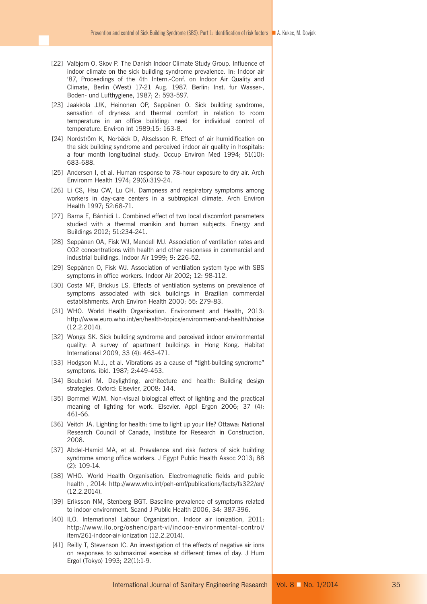- [22] Valbjorn O, Skov P. The Danish lndoor Climate Study Group. Influence of indoor climate on the sick building syndrome prevalence. In: Indoor air '87, Proceedings of the 4th Intern.-Conf. on lndoor Air Quality and Climate, Berlin (West) 17-21 Aug. 1987. Berlin: Inst. fur Wasser-, Boden- und Lufthygiene, 1987; 2: 593-597.
- [23] Jaakkola JJK, Heinonen OP, Seppänen O. Sick building syndrome, sensation of dryness and thermal comfort in relation to room temperature in an office building: need for individual control of temperature. Environ Int 1989;15: 163-8.
- [24] Nordström K, Norbäck D, Akselsson R. Effect of air humidification on the sick building syndrome and perceived indoor air quality in hospitals: a four month longitudinal study. Occup Environ Med 1994; 51(10): 683-688.
- [25] Andersen I, et al. Human response to 78-hour exposure to dry air. Arch Environm Health 1974; 29(6):319-24.
- [26] Li CS, Hsu CW, Lu CH. Dampness and respiratory symptoms among workers in day-care centers in a subtropical climate. Arch Environ Health 1997; 52:68-71.
- [27] Barna E, Bánhidi L. Combined effect of two local discomfort parameters studied with a thermal manikin and human subjects. Energy and Buildings 2012; 51:234-241.
- [28] Seppänen OA, Fisk WJ, Mendell MJ, Association of ventilation rates and CO2 concentrations with health and other responses in commercial and industrial buildings. Indoor Air 1999; 9: 226-52.
- [29] Seppänen O, Fisk WJ. Association of ventilation system type with SBS symptoms in office workers. Indoor Air 2002; 12: 98-112.
- [30] Costa MF, Brickus LS. Effects of ventilation systems on prevalence of symptoms associated with sick buildings in Brazilian commercial establishments. Arch Environ Health 2000; 55: 279-83.
- [31] WHO. World Health Organisation. Environment and Health, 2013: http://www.euro.who.int/en/health-topics/environment-and-health/noise (12.2.2014).
- [32] Wonga SK. Sick building syndrome and perceived indoor environmental quality: A survey of apartment buildings in Hong Kong. Habitat International 2009, 33 (4): 463-471.
- [33] Hodgson M.J., et al. Vibrations as a cause of "tight-building syndrome" symptoms. ibid. 1987; 2:449-453.
- [34] Boubekri M. Daylighting, architecture and health: Building design strategies. Oxford: Elsevier, 2008: 144.
- [35] Bommel WJM. Non-visual biological effect of lighting and the practical meaning of lighting for work. Elsevier. Appl Ergon 2006; 37 (4): 461-66.
- [36] Veitch JA. Lighting for health: time to light up your life? Ottawa: National Research Council of Canada, Institute for Research in Construction, 2008.
- [37] Abdel-Hamid MA, et al. Prevalence and risk factors of sick building syndrome among office workers. J Egypt Public Health Assoc 2013; 88 (2): 109-14.
- [38] WHO. World Health Organisation. Electromagnetic fields and public health , 2014: http://www.who.int/peh-emf/publications/facts/fs322/en/ (12.2.2014).
- [39] Eriksson NM, Stenberg BGT. Baseline prevalence of symptoms related to indoor environment. Scand J Public Health 2006, 34: 387-396.
- [40] ILO. International Labour Organization. Indoor air ionization, 2011: http://www.ilo.org/oshenc/part-vi/indoor-environmental-control/ item/261-indoor-air-ionization (12.2.2014).
- [41] Reilly T, Stevenson IC. An investigation of the effects of negative air ions on responses to submaximal exercise at different times of day. J Hum Ergol (Tokyo) 1993; 22(1):1-9.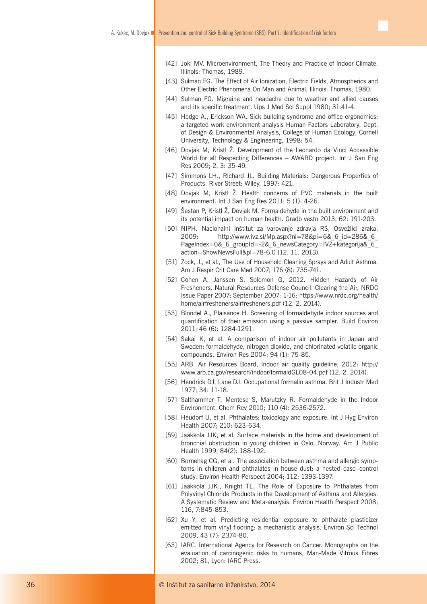- [42] Jokl MV. Microenvironment, The Theory and Practice of Indoor Climate. Illinois: Thomas, 1989.
- [43] Sulman FG. The Effect of Air Ionization, Electric Fields, Atmospherics and Other Electric Phenomena On Man and Animal, Illinois: Thomas, 1980.
- [44] Sulman FG. Migraine and headache due to weather and allied causes and its specific treatment. Ups J Med Sci Suppl 1980; 31:41-4.
- [45] Hedge A., Erickson WA, Sick building syndrome and office ergonomics: a targeted work environment analysis Human Factors Laboratory, Dept. of Design & Environmental Analysis, College of Human Ecology, Cornell University, Technology & Engineering, 1998: 54.
- [46] Dovjak M, Kristl Ž. Development of the Leonardo da Vinci Accessible World for all Respecting Differences – AWARD project. Int J San Eng Res 2009; 2, 3: 35-49.
- [47] Simmons LH., Richard JL. Building Materials: Dangerous Properties of Products. River Street: Wiley, 1997: 421.
- [48] Doviak M, Kristl Ž, Health concerns of PVC materials in the built environment. Int J San Eng Res 2011; 5 (1): 4-26.
- [49] Šestan P, Kristl Ž, Dovjak M. Formaldehyde in the built environment and its potential impact on human health. Gradb vestn 2013; 62: 191-203.
- [50] NIPH. Nacionalni inštitut za varovanje zdravja RS, Osvežilci zraka, 2009: http://www.ivz.si/Mp.aspx?ni=78&pi=6&\_6\_id=286&\_6\_ PageIndex=0& 6\_groupId=-2& 6\_newsCategory=IVZ+kategorija& 6 action=ShowNewsFull&pl=78-6.0 (12. 11. 2013).
- [51] Zock, J., et al., The Use of Household Cleaning Sprays and Adult Asthma. Am J Respir Crit Care Med 2007; 176 (8): 735-741.
- [52] Cohen A, Janssen S, Solomon G, 2012. Hidden Hazards of Air Fresheners. Natural Resources Defense Council. Clearing the Air, NRDC Issue Paper 2007; September 2007: 1-16: https://www.nrdc.org/health/ home/airfresheners/airfresheners.pdf (12. 2. 2014).
- [53] Blondel A., Plaisance H. Screening of formaldehyde indoor sources and quantification of their emission using a passive sampler. Build Environ 2011; 46 (6): 1284-1291.
- [54] Sakai K, et al. A comparison of indoor air pollutants in Japan and Sweden: formaldehyde, nitrogen dioxide, and chlorinated volatile organic compounds. Environ Res 2004; 94 (1): 75-85.
- [55] ARB. Air Resources Board, Indoor air quality guideline, 2012: http:// www.arb.ca.gov/research/indoor/formaldGL08-04.pdf (12. 2. 2014).
- [56] Hendrick DJ, Lane DJ. Occupational forrnalin asthma. Brit J Industr Med 1977; 34: 11-18.
- [57] Salthammer T, Mentese S, Marutzky R. Formaldehyde in the Indoor Environment. Chem Rev 2010; 110 (4): 2536-2572.
- [58] Heudorf U, et al. Phthalates: toxicology and exposure. Int J Hyg Environ Health 2007; 210: 623-634.
- [59] Jaakkola JJK, et al. Surface materials in the home and development of bronchial obstruction in young children in Oslo, Norway. Am J Public Health 1999; 84(2): 188-192.
- [60] Bornehag CG, et al. The association between asthma and allergic symptoms in children and phthalates in house dust: a nested case–control study. Environ Health Perspect 2004; 112: 1393-1397.
- [61] Jaakkola JJK., Knight TL. The Role of Exposure to Phthalates from Polyvinyl Chloride Products in the Development of Asthma and Allergies: A Systematic Review and Meta-analysis. Environ Health Perspect 2008; 116, 7:845-853.
- [62] Xu Y, et al. Predicting residential exposure to phthalate plasticizer emitted from vinyl flooring: a mechanistic analysis. Environ Sci Technol 2009, 43 (7): 2374-80.
- [63] IARC. International Agency for Research on Cancer. Monographs on the evaluation of carcinogenic risks to humans, Man-Made Vitrous Fibres 2002; 81, Lyon: IARC Press.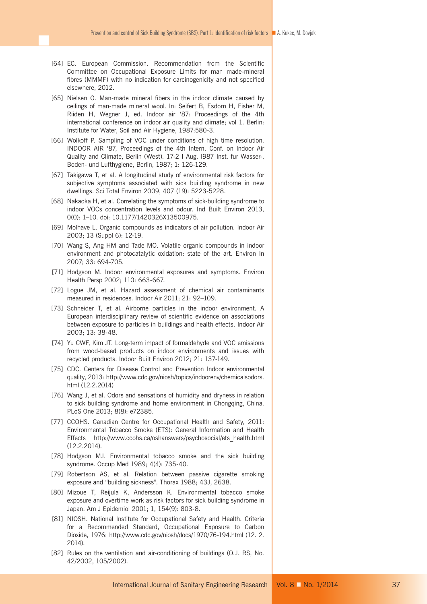- [64] EC. European Commission. Recommendation from the Scientific Committee on Occupational Exposure Limits for man made-mineral fibres (MMMF) with no indication for carcinogenicity and not specified elsewhere, 2012.
- [65] Nielsen O. Man-made mineral fibers in the indoor climate caused by ceilings of man-made mineral wool. In: Seifert B, Esdorn H, Fisher M, Riiden H, Wegner J, ed. Indoor air '87: Proceedings of the 4th international conference on indoor air quality and climate; vol 1. Berlin: Institute for Water, Soil and Air Hygiene, 1987:580-3.
- [66] Wolkoff P. Sampling of VOC under conditions of high time resolution. INDOOR AIR '87, Proceedings of the 4th Intern. Conf. on lndoor Air Quality and Climate, Berlin (West). 17-2 I Aug. I987 Inst. fur Wasser-, Boden- und Lufthygiene, Berlin, 1987; 1: 126-129.
- [67] Takigawa T, et al. A longitudinal study of environmental risk factors for subjective symptoms associated with sick building syndrome in new dwellings. Sci Total Environ 2009, 407 (19): 5223-5228.
- [68] Nakaoka H, et al. Correlating the symptoms of sick-building syndrome to indoor VOCs concentration levels and odour. Ind Built Environ 2013, 0(0): 1–10. doi: 10.1177/1420326X13500975.
- [69] Molhave L. Organic compounds as indicators of air pollution. Indoor Air 2003; 13 (Suppl 6): 12-19.
- [70] Wang S, Ang HM and Tade MO. Volatile organic compounds in indoor environment and photocatalytic oxidation: state of the art. Environ In 2007; 33: 694-705.
- [71] Hodgson M. Indoor environmental exposures and symptoms. Environ Health Persp 2002; 110: 663-667.
- [72] Logue JM, et al. Hazard assessment of chemical air contaminants measured in residences. Indoor Air 2011; 21: 92–109.
- [73] Schneider T, et al. Airborne particles in the indoor environment. A European interdisciplinary review of scientific evidence on associations between exposure to particles in buildings and health effects. Indoor Air 2003; 13: 38-48.
- [74] Yu CWF, Kim JT. Long-term impact of formaldehyde and VOC emissions from wood-based products on indoor environments and issues with recycled products. Indoor Built Environ 2012; 21: 137-149.
- [75] CDC. Centers for Disease Control and Prevention Indoor environmental quality, 2013: http://www.cdc.gov/niosh/topics/indoorenv/chemicalsodors. html (12.2.2014)
- [76] Wang J, et al. Odors and sensations of humidity and dryness in relation to sick building syndrome and home environment in Chongqing, China. PLoS One 2013; 8(8): e72385.
- [77] CCOHS. Canadian Centre for Occupational Health and Safety, 2011: Environmental Tobacco Smoke (ETS): General Information and Health Effects http://www.ccohs.ca/oshanswers/psychosocial/ets\_health.html (12.2.2014).
- [78] Hodgson MJ. Environmental tobacco smoke and the sick building syndrome. Occup Med 1989; 4(4): 735-40.
- [79] Robertson AS, et al. Relation between passive cigarette smoking exposure and "building sickness". Thorax 1988; 43J, 2638.
- [80] Mizoue T, Reijula K, Andersson K. Environmental tobacco smoke exposure and overtime work as risk factors for sick building syndrome in Japan. Am J Epidemiol 2001; 1, 154(9): 803-8.
- [81] NIOSH. National Institute for Occupational Safety and Health. Criteria for a Recommended Standard, Occupational Exposure to Carbon Dioxide, 1976: http://www.cdc.gov/niosh/docs/1970/76-194.html (12. 2. 2014).
- [82] Rules on the ventilation and air-conditioning of buildings (O.J. RS, No. 42/2002, 105/2002).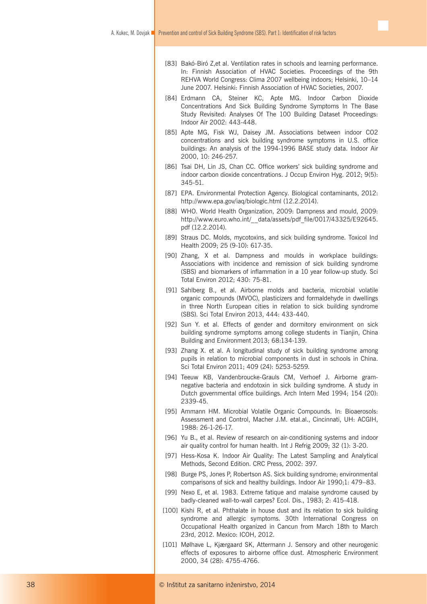- [83] Bakó-Biró Z,et al. Ventilation rates in schools and learning performance. In: Finnish Association of HVAC Societies. Proceedings of the 9th REHVA World Congress: Clima 2007 wellbeing indoors; Helsinki, 10–14 June 2007. Helsinki: Finnish Association of HVAC Societies, 2007.
- [84] Erdmann CA, Steiner KC, Apte MG. Indoor Carbon Dioxide Concentrations And Sick Building Syndrome Symptoms In The Base Study Revisited: Analyses Of The 100 Building Dataset Proceedings: Indoor Air 2002: 443-448.
- [85] Apte MG, Fisk WJ, Daisey JM. Associations between indoor CO2 concentrations and sick building syndrome symptoms in U.S. office buildings: An analysis of the 1994-1996 BASE study data. Indoor Air 2000, 10: 246-257.
- [86] Tsai DH, Lin JS, Chan CC. Office workers' sick building syndrome and indoor carbon dioxide concentrations. J Occup Environ Hyg. 2012; 9(5): 345-51.
- [87] EPA. Environmental Protection Agency. Biological contaminants, 2012: http://www.epa.gov/iaq/biologic.html (12.2.2014).
- [88] WHO. World Health Organization, 2009: Dampness and mould, 2009: http://www.euro.who.int/ data/assets/pdf file/0017/43325/E92645. pdf (12.2.2014).
- [89] Straus DC. Molds, mycotoxins, and sick building syndrome. Toxicol Ind Health 2009; 25 (9-10): 617-35.
- [90] Zhang, X et al. Dampness and moulds in workplace buildings: Associations with incidence and remission of sick building syndrome (SBS) and biomarkers of inflammation in a 10 year follow-up study. Sci Total Environ 2012; 430: 75-81.
- [91] Sahlberg B., et al. Airborne molds and bacteria, microbial volatile organic compounds (MVOC), plasticizers and formaldehyde in dwellings in three North European cities in relation to sick building syndrome (SBS). Sci Total Environ 2013, 444: 433-440.
- [92] Sun Y. et al. Effects of gender and dormitory environment on sick building syndrome symptoms among college students in Tianjin, China Building and Environment 2013; 68:134-139.
- [93] Zhang X, et al. A longitudinal study of sick building syndrome among pupils in relation to microbial components in dust in schools in China. Sci Total Environ 2011; 409 (24): 5253-5259.
- [94] Teeuw KB, Vandenbroucke-Grauls CM, Verhoef J. Airborne gramnegative bacteria and endotoxin in sick building syndrome. A study in Dutch governmental office buildings. Arch Intern Med 1994; 154 (20): 2339-45.
- [95] Ammann HM. Microbial Volatile Organic Compounds. In: Bioaerosols: Assessment and Control, Macher J.M. etal.al., Cincinnati, UH: ACGIH, 1988: 26-1-26-17.
- [96] Yu B., et al. Review of research on air-conditioning systems and indoor air quality control for human health. Int J Refrig 2009; 32 (1): 3-20.
- [97] Hess-Kosa K. Indoor Air Quality: The Latest Sampling and Analytical Methods, Second Edition. CRC Press, 2002: 397.
- [98] Burge PS, Jones P, Robertson AS. Sick building syndrome; environmental comparisons of sick and healthy buildings. Indoor Air 1990;1: 479–83.
- [99] Nexo E, et al. 1983. Extreme fatique and malaise syndrome caused by badly-cleaned wall-to-wall carpes? Ecol. Dis., 1983; 2: 415-418.
- [100] Kishi R, et al. Phthalate in house dust and its relation to sick building syndrome and allergic symptoms. 30th International Congress on Occupational Health organized in Cancun from March 18th to March 23rd, 2012. Mexico: ICOH, 2012.
- [101] Mølhave L, Kjærgaard SK, Attermann J. Sensory and other neurogenic effects of exposures to airborne office dust. Atmospheric Environment 2000, 34 (28): 4755-4766.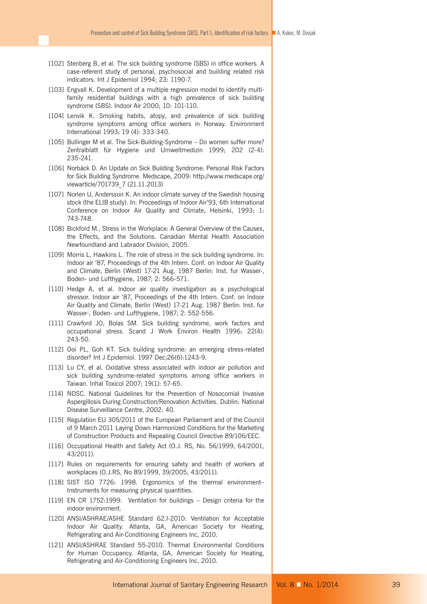- [102] Stenberg B, et al. The sick building syndrome (SBS) in office workers. A case-referent study of personal, psychosocial and building related risk indicators. Int J Epidemiol 1994; 23: 1190-7.
- [103] Engvall K. Development of a multiple regression model to identify multifamily residential buildings with a high prevalence of sick building syndrome (SBS). Indoor Air 2000; 10: 101-110.
- [104] Lenvik K. Smoking habits, atopy, and prevalence of sick building syndrome symptoms among office workers in Norway. Environment International 1993; 19 (4): 333-340.
- [105] Bullinger M et al. The Sick-Building-Syndrome Do women suffer more? Zentralblatt für Hygiene und Umweltmedizin 1999; 202 (2-4): 235-241.
- [106] Norbäck D. An Update on Sick Building Syndrome: Personal Risk Factors for Sick Building Syndrome. Medscape, 2009: http://www.medscape.org/ viewarticle/701739\_7 (21.11.2013)
- [107] Norlen U, Andersson K. An indoor climate survey of the Swedish housing stock (the ELIB study). In: Proceedings of Indoor Air'93, 6th International Conference on Indoor Air Quality and Climate, Helsinki, 1993; 1: 743-748.
- [108] Bickford M., Stress in the Workplace: A General Overview of the Causes, the Effects, and the Solutions. Canadian Mental Health Association Newfoundland and Labrador Division, 2005.
- [109] Morris L, Hawkins L. The role of stress in the sick building syndrome. In: Indoor air '87, Proceedings of the 4th Intern. Conf. on lndoor Air Quality and Climate, Berlin (West) 17-21 Aug. 1987 Berlin: Inst. fur Wasser-, Boden- und Lufthygiene, 1987; 2: 566-571.
- [110] Hedge A, et al. lndoor air quality investigation as a psychological stressor. Indoor air '87, Proceedings of the 4th Intern. Conf. on lndoor Air Quality and Climate, Berlin (West) 17-21 Aug. 1987 Berlin: Inst. fur Wasser-, Boden- und Lufthygiene, 1987; 2: 552-556.
- [111] Crawford JO, Bolas SM. Sick building syndrome, work factors and occupational stress. Scand J Work Environ Health 1996; 22(4): 243-50.
- [112] Ooi PL, Goh KT. Sick building syndrome: an emerging stress-related disorder? Int J Epidemiol. 1997 Dec;26(6):1243-9.
- [113] Lu CY, et al. Oxidative stress associated with indoor air pollution and sick building syndrome-related symptoms among office workers in Taiwan. Inhal Toxicol 2007; 19(1): 57-65.
- [114] NDSC. National Guidelines for the Prevention of Nosocomial Invasive Aspergillosis During Construction/Renovation Activities. Dublin: National Disease Surveillance Centre, 2002: 40.
- [115] Regulation EU 305/2011 of the European Parliament and of the Council of 9 March 2011 Laying Down Harmonized Conditions for the Marketing of Construction Products and Repealing Council Directive 89/106/EEC.
- [116] Occupational Health and Safety Act (0.J. RS, No. 56/1999, 64/2001, 43/2011).
- [117] Rules on requirements for ensuring safety and health of workers at workplaces (O.J.RS, No 89/1999, 39/2005, 43/2011).
- [118] SIST ISO 7726: 1998. Ergonomics of the thermal environment-Instruments for measuring physical quantities.
- [119] EN CR 1752:1999. Ventilation for buildings Design criteria for the indoor environment.
- [120] ANSI/ASHRAE/ASHE Standard 62.I-2010: Ventilation for Acceptable Indoor Air Quality. Atlanta, GA, American Society for Heating, Refrigerating and Air-Conditioning Engineers Inc, 2010.
- [121] ANSI/ASHRAE Standard 55-2010. Thermal Environmental Conditions for Human Occupancy. Atlanta, GA, American Society for Heating, Refrigerating and Air-Conditioning Engineers Inc, 2010.